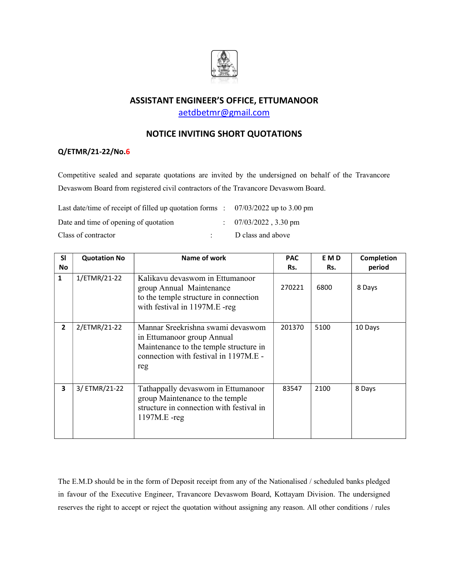

## ASSISTANT ENGINEER'S OFFICE, ETTUMANOOR

aetdbetmr@gmail.com

## NOTICE INVITING SHORT QUOTATIONS

## Q/ETMR/21-22/No.6

Competitive sealed and separate quotations are invited by the undersigned on behalf of the Travancore Devaswom Board from registered civil contractors of the Travancore Devaswom Board.

| Last date/time of receipt of filled up quotation forms : $07/03/2022$ up to 3.00 pm |                                  |
|-------------------------------------------------------------------------------------|----------------------------------|
| Date and time of opening of quotation                                               | $\therefore$ 07/03/2022, 3.30 pm |
| Class of contractor                                                                 | D class and above                |

| <b>SI</b>      | <b>Quotation No</b> | Name of work                                                                                                                                              | <b>PAC</b> | E M D | Completion |
|----------------|---------------------|-----------------------------------------------------------------------------------------------------------------------------------------------------------|------------|-------|------------|
| <b>No</b>      |                     |                                                                                                                                                           | Rs.        | Rs.   | period     |
| $\mathbf{1}$   | 1/ETMR/21-22        | Kalikavu devaswom in Ettumanoor<br>group Annual Maintenance<br>to the temple structure in connection<br>with festival in 1197M.E -reg                     | 270221     | 6800  | 8 Days     |
| $\overline{2}$ | 2/ETMR/21-22        | Mannar Sreekrishna swami devaswom<br>in Ettumanoor group Annual<br>Maintenance to the temple structure in<br>connection with festival in 1197M.E -<br>reg | 201370     | 5100  | 10 Days    |
| 3              | 3/ETMR/21-22        | Tathappally devaswom in Ettumanoor<br>group Maintenance to the temple<br>structure in connection with festival in<br>$1197M.E - reg$                      | 83547      | 2100  | 8 Days     |

The E.M.D should be in the form of Deposit receipt from any of the Nationalised / scheduled banks pledged in favour of the Executive Engineer, Travancore Devaswom Board, Kottayam Division. The undersigned reserves the right to accept or reject the quotation without assigning any reason. All other conditions / rules